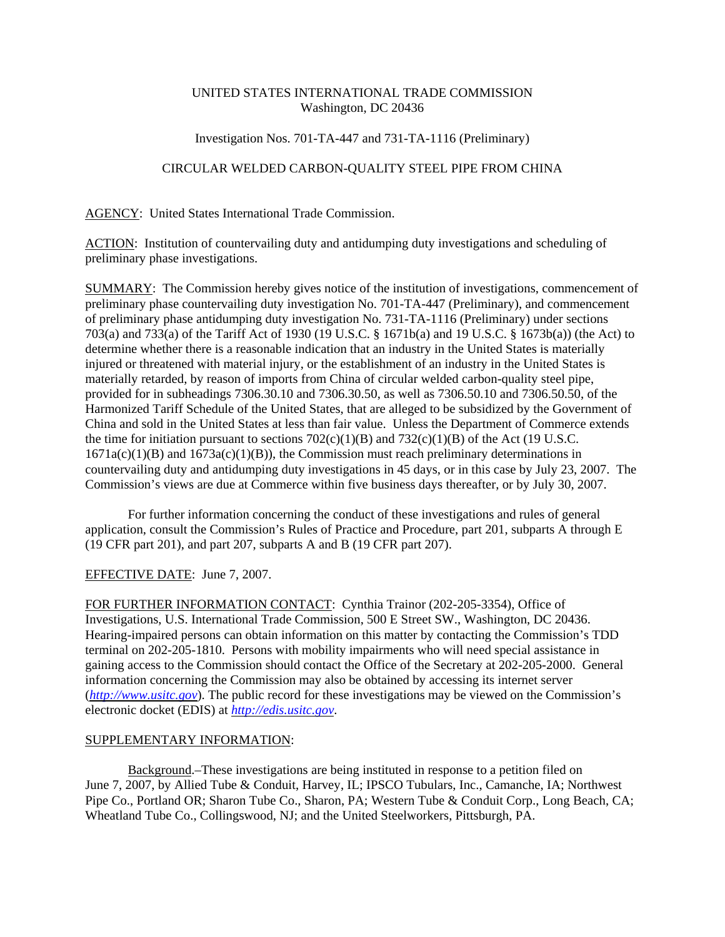## UNITED STATES INTERNATIONAL TRADE COMMISSION Washington, DC 20436

## Investigation Nos. 701-TA-447 and 731-TA-1116 (Preliminary)

## CIRCULAR WELDED CARBON-QUALITY STEEL PIPE FROM CHINA

AGENCY: United States International Trade Commission.

ACTION: Institution of countervailing duty and antidumping duty investigations and scheduling of preliminary phase investigations.

SUMMARY: The Commission hereby gives notice of the institution of investigations, commencement of preliminary phase countervailing duty investigation No. 701-TA-447 (Preliminary), and commencement of preliminary phase antidumping duty investigation No. 731-TA-1116 (Preliminary) under sections 703(a) and 733(a) of the Tariff Act of 1930 (19 U.S.C. § 1671b(a) and 19 U.S.C. § 1673b(a)) (the Act) to determine whether there is a reasonable indication that an industry in the United States is materially injured or threatened with material injury, or the establishment of an industry in the United States is materially retarded, by reason of imports from China of circular welded carbon-quality steel pipe, provided for in subheadings 7306.30.10 and 7306.30.50, as well as 7306.50.10 and 7306.50.50, of the Harmonized Tariff Schedule of the United States, that are alleged to be subsidized by the Government of China and sold in the United States at less than fair value. Unless the Department of Commerce extends the time for initiation pursuant to sections  $702(c)(1)(B)$  and  $732(c)(1)(B)$  of the Act (19 U.S.C. 1671a(c)(1)(B) and 1673a(c)(1)(B)), the Commission must reach preliminary determinations in countervailing duty and antidumping duty investigations in 45 days, or in this case by July 23, 2007. The Commission's views are due at Commerce within five business days thereafter, or by July 30, 2007.

For further information concerning the conduct of these investigations and rules of general application, consult the Commission's Rules of Practice and Procedure, part 201, subparts A through E (19 CFR part 201), and part 207, subparts A and B (19 CFR part 207).

EFFECTIVE DATE: June 7, 2007.

FOR FURTHER INFORMATION CONTACT: Cynthia Trainor (202-205-3354), Office of Investigations, U.S. International Trade Commission, 500 E Street SW., Washington, DC 20436. Hearing-impaired persons can obtain information on this matter by contacting the Commission's TDD terminal on 202-205-1810. Persons with mobility impairments who will need special assistance in gaining access to the Commission should contact the Office of the Secretary at 202-205-2000. General information concerning the Commission may also be obtained by accessing its internet server (*http://www.usitc.gov*). The public record for these investigations may be viewed on the Commission's electronic docket (EDIS) at *http://edis.usitc.gov*.

## SUPPLEMENTARY INFORMATION:

Background.–These investigations are being instituted in response to a petition filed on June 7, 2007, by Allied Tube & Conduit, Harvey, IL; IPSCO Tubulars, Inc., Camanche, IA; Northwest Pipe Co., Portland OR; Sharon Tube Co., Sharon, PA; Western Tube & Conduit Corp., Long Beach, CA; Wheatland Tube Co., Collingswood, NJ; and the United Steelworkers, Pittsburgh, PA.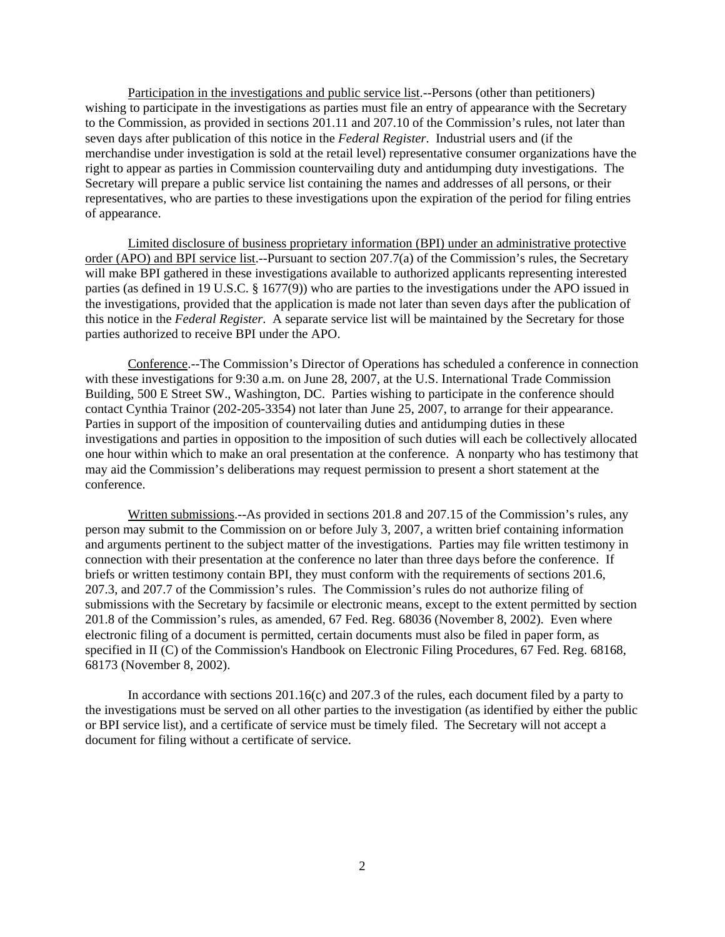Participation in the investigations and public service list.--Persons (other than petitioners) wishing to participate in the investigations as parties must file an entry of appearance with the Secretary to the Commission, as provided in sections 201.11 and 207.10 of the Commission's rules, not later than seven days after publication of this notice in the *Federal Register*. Industrial users and (if the merchandise under investigation is sold at the retail level) representative consumer organizations have the right to appear as parties in Commission countervailing duty and antidumping duty investigations. The Secretary will prepare a public service list containing the names and addresses of all persons, or their representatives, who are parties to these investigations upon the expiration of the period for filing entries of appearance.

Limited disclosure of business proprietary information (BPI) under an administrative protective order (APO) and BPI service list.--Pursuant to section 207.7(a) of the Commission's rules, the Secretary will make BPI gathered in these investigations available to authorized applicants representing interested parties (as defined in 19 U.S.C. § 1677(9)) who are parties to the investigations under the APO issued in the investigations, provided that the application is made not later than seven days after the publication of this notice in the *Federal Register*. A separate service list will be maintained by the Secretary for those parties authorized to receive BPI under the APO.

Conference.--The Commission's Director of Operations has scheduled a conference in connection with these investigations for 9:30 a.m. on June 28, 2007, at the U.S. International Trade Commission Building, 500 E Street SW., Washington, DC. Parties wishing to participate in the conference should contact Cynthia Trainor (202-205-3354) not later than June 25, 2007, to arrange for their appearance. Parties in support of the imposition of countervailing duties and antidumping duties in these investigations and parties in opposition to the imposition of such duties will each be collectively allocated one hour within which to make an oral presentation at the conference. A nonparty who has testimony that may aid the Commission's deliberations may request permission to present a short statement at the conference.

Written submissions.--As provided in sections 201.8 and 207.15 of the Commission's rules, any person may submit to the Commission on or before July 3, 2007, a written brief containing information and arguments pertinent to the subject matter of the investigations. Parties may file written testimony in connection with their presentation at the conference no later than three days before the conference. If briefs or written testimony contain BPI, they must conform with the requirements of sections 201.6, 207.3, and 207.7 of the Commission's rules. The Commission's rules do not authorize filing of submissions with the Secretary by facsimile or electronic means, except to the extent permitted by section 201.8 of the Commission's rules, as amended, 67 Fed. Reg. 68036 (November 8, 2002). Even where electronic filing of a document is permitted, certain documents must also be filed in paper form, as specified in II (C) of the Commission's Handbook on Electronic Filing Procedures, 67 Fed. Reg. 68168, 68173 (November 8, 2002).

In accordance with sections 201.16(c) and 207.3 of the rules, each document filed by a party to the investigations must be served on all other parties to the investigation (as identified by either the public or BPI service list), and a certificate of service must be timely filed. The Secretary will not accept a document for filing without a certificate of service.